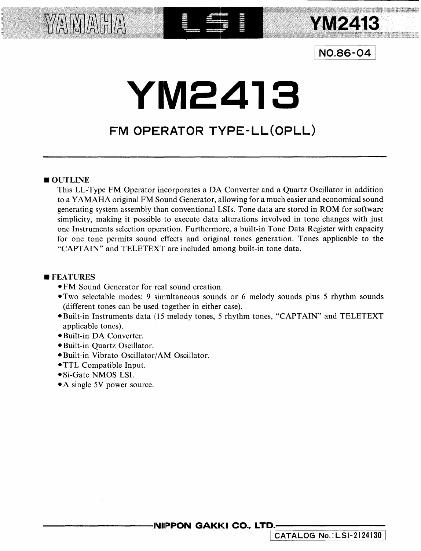

### <sup>I</sup>**N0.86-04** <sup>I</sup>

# **Y'M2418**

= ~ <sup>=</sup> : 5 ~ E -- -- -- - - - ' ~~ <sup>=</sup>I ,

## **FM OPERATOR TYPE-LL(OPLL)**

### OUTLINE

YAMAHA

This LL-Type FM Operator incorporates a DA Converter and a Quartz Oscillator in addition to a YAMAHA original FM Sound Generator, allowing for a much easier and economical sound generating system assembly than conventional LSis. Tone data are stored in ROM for software simplicity, making it possible to execute data alterations involved in tone changes with just one Instruments selection operation. Furthermore, a built-in Tone Data Register with capacity for one tone permits sound effects and original tones generation. Tones applicable to the "CAPTAIN" and TELETEXT are included among built-in tone data.

#### **E**FEATURES

- •FM Sound Generator for real sound creation.
- •Two selectable modes: 9 simultaneous sounds or 6 melody sounds plus 5 rhythm sounds (different tones can be used together in either case).
- •Built-in Instruments data (15 melody tones, 5 rhythm tones, "CAPTAIN" and TELETEXT applicable tones).
- •Built-in DA Converter.
- •Built-in Quartz Oscillator.
- •Built-in Vibrato Oscillator/AM Oscillator.
- •TTL Compatible Input.
- Si-Gate NMOS LSI.
- A single 5V power source.

**NIPPON GAKKI CO., LTD.** 

1 **CATALOG No.:LSl-2124130]**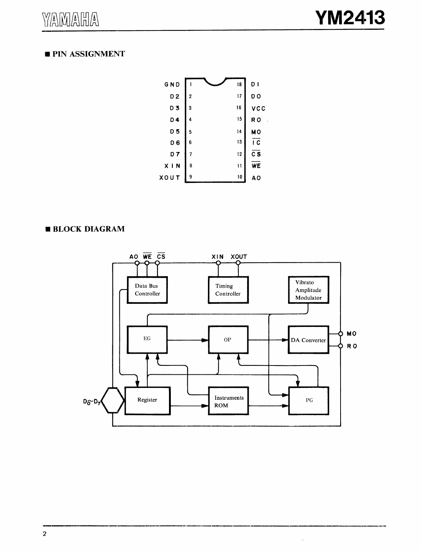### **PIN ASSIGNMENT**



### **BLOCK DIAGRAM**

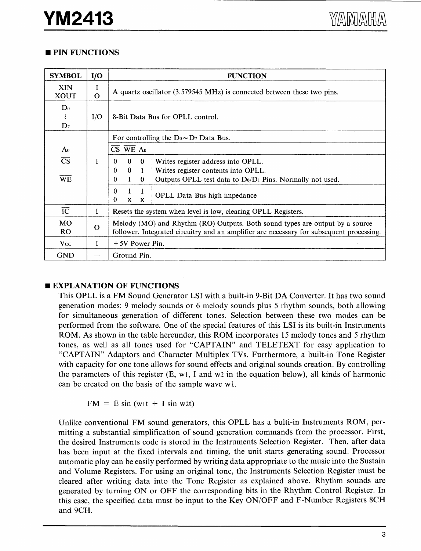### **PIN FUNCTIONS**

| <b>SYMBOL</b>                | I/O           | <b>FUNCTION</b>                                                                                                                                                                                                                                  |  |  |  |  |
|------------------------------|---------------|--------------------------------------------------------------------------------------------------------------------------------------------------------------------------------------------------------------------------------------------------|--|--|--|--|
| <b>XIN</b><br><b>XOUT</b>    | I<br>$\Omega$ | A quartz oscillator (3.579545 MHz) is connected between these two pins.                                                                                                                                                                          |  |  |  |  |
| $D_0$<br>₹<br>$\mathbf{D}_7$ | I/O           | 8-Bit Data Bus for OPLL control.                                                                                                                                                                                                                 |  |  |  |  |
| A <sub>0</sub>               |               | For controlling the $Do \sim D_7$ Data Bus.<br>$\overline{\text{CS}}$ WE A <sub>0</sub>                                                                                                                                                          |  |  |  |  |
| $\overline{\text{CS}}$<br>WE | T             | $\theta$<br>$\bf{0}$<br>Writes register address into OPLL.<br>0<br>$\mathbf{0}$<br>$\theta$<br>Writes register contents into OPLL.<br>-1<br>$\mathbf{1}$<br>Outputs OPLL test data to $D_0/D_1$ Pins. Normally not used.<br>$\theta$<br>$\Omega$ |  |  |  |  |
|                              |               | $\theta$<br>1<br>-1<br><b>OPLL</b> Data Bus high impedance<br>0<br>$x \times$                                                                                                                                                                    |  |  |  |  |
| $\overline{IC}$              | I             | Resets the system when level is low, clearing OPLL Registers.                                                                                                                                                                                    |  |  |  |  |
| <b>MO</b><br>RO.             | $\Omega$      | Melody (MO) and Rhythm (RO) Outputs. Both sound types are output by a source<br>follower. Integrated circuitry and an amplifier are necessary for subsequent processing.                                                                         |  |  |  |  |
| $V_{\rm CC}$                 | I             | $+5V$ Power Pin.                                                                                                                                                                                                                                 |  |  |  |  |
| <b>GND</b>                   |               | Ground Pin.                                                                                                                                                                                                                                      |  |  |  |  |

### **EXPLANATION OF FUNCTIONS**

This OPLL is a FM Sound Generator LSI with a built-in 9-Bit DA Converter. It has two sound generation modes: 9 melody sounds or 6 melody sounds plus 5 rhythm sounds, both allowing for simultaneous generation of different tones. Selection between these two modes can be performed from the software. One of the special features of this LSI is its built-in Instruments ROM. As shown in the table hereunder, this ROM incorporates 15 melody tones and 5 rhythm tones, as well as all tones used for "CAPTAIN" and TELETEXT for easy application to "CAPTAIN" Adaptors and Character Multiplex TVs. Furthermore, a built-in Tone Register with capacity for one tone allows for sound effects and original sounds creation. By controlling the parameters of this register  $(E, w_1, I$  and w2 in the equation below), all kinds of harmonic can be created on the basis of the sample wave wl.

 $FM = E \sin{(w_1t + I \sin{w_2t})}$ 

Unlike conventional FM sound generators, this OPLL has a bulti-in Instruments ROM, permitting a substantial simplification of sound generation commands from the processor. First, the desired Instruments code is stored in the Instruments Selection Register. Then, after data has been input at the fixed intervals and timing, the unit starts generating sound. Processor automatic play can be easily performed by writing data appropriate to the music into the Sustain and Volume Registers. For using an original tone, the Instruments Selection Register must be cleared after writing data into the Tone Register as explained above. Rhythm sounds are generated by turning ON or OFF the corresponding bits in the Rhythm Control Register. In this case, the specified data must be input to the Key ON/OFF and F-Number Registers SCH and 9CH.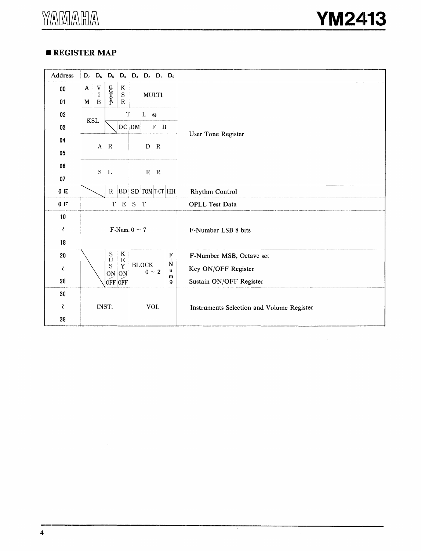### • **REGISTER MAP**

| Address | $D_7$ $D_6$ $D_5$ $D_4$ $D_3$ $D_2$ $D_1$ $D_0$                                                        |                                           |  |
|---------|--------------------------------------------------------------------------------------------------------|-------------------------------------------|--|
| $00\,$  | $E$ <sub>G</sub><br>T<br>Y<br>P<br>$\mathbf V$<br>$\mathbf{A}$<br>K<br>${\bf S}$<br>MULTI.<br>$\bf{I}$ |                                           |  |
| 01      | $\mathbf R$<br>$\, {\bf B}$<br>M                                                                       |                                           |  |
| 02      | $\mathbf T$<br>$L \quad \omega$                                                                        |                                           |  |
| 03      | <b>KSL</b><br>DC DM <br>$F$ B                                                                          |                                           |  |
| 04      |                                                                                                        | User Tone Register                        |  |
| $05\,$  | D R<br>A R                                                                                             |                                           |  |
| 06      |                                                                                                        |                                           |  |
| 07      | $S$ L<br>$R$ $R$                                                                                       |                                           |  |
| 0 E     | SD TOM TCT HH<br>R  BD                                                                                 | Rhythm Control                            |  |
| 0 F     | T E S T                                                                                                | <b>OPLL Test Data</b>                     |  |
| 10      |                                                                                                        |                                           |  |
| ₹       | F-Num. $0 \sim 7$                                                                                      | F-Number LSB 8 bits                       |  |
| 18      |                                                                                                        |                                           |  |
| 20      | K<br>$\mathbf S$<br>$\frac{1}{k}$<br>U<br>$\bf E$                                                      | F-Number MSB, Octave set                  |  |
| ₹       | <b>BLOCK</b><br>$\mathbb N$<br>S<br>Y<br>$0 \sim 2$<br>u<br>$ON$ ON                                    | Key ON/OFF Register                       |  |
| 28      | m<br>$OFF$ $OFF$<br>9                                                                                  | Sustain ON/OFF Register                   |  |
| 30      |                                                                                                        |                                           |  |
| ₹       | INST.<br><b>VOL</b>                                                                                    | Instruments Selection and Volume Register |  |
| 38      |                                                                                                        |                                           |  |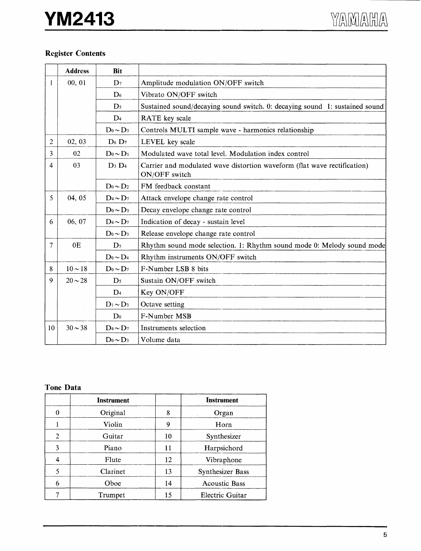# **YM2413**

### Register Contents

|                | <b>Address</b> | <b>Bit</b>                |                                                                                           |
|----------------|----------------|---------------------------|-------------------------------------------------------------------------------------------|
| 1              | 00, 01         | $D_7$                     | Amplitude modulation ON/OFF switch                                                        |
|                |                | $\mathbf{D}_6$            | Vibrato ON/OFF switch                                                                     |
|                |                | $\mathbf{D}_5$            | Sustained sound/decaying sound switch. 0: decaying sound 1: sustained sound               |
|                |                | D <sub>4</sub>            | RATE key scale                                                                            |
|                |                | $D_0 \sim D_3$            | Controls MULTI sample wave - harmonics relationship                                       |
| $\overline{2}$ | 02, 03         | $D_6 D_7$                 | LEVEL key scale                                                                           |
| 3              | 02             | $D_0 \sim D_5$            | Modulated wave total level. Modulation index control                                      |
| 4              | 03             | $D_3 D_4$                 | Carrier and modulated wave distortion waveform (flat wave rectification)<br>ON/OFF switch |
|                |                | $D_0 \sim D_2$            | FM feedback constant                                                                      |
| 5              | 04, 05         | $D_4 \sim D_7$            | Attack envelope change rate control                                                       |
|                |                | $D_0 \sim D_3$            | Decay envelope change rate control                                                        |
| 6              | 06, 07         | $D_4 \sim D_7$            | Indication of decay - sustain level                                                       |
|                |                | $D_0 \sim D_3$            | Release envelope change rate control                                                      |
| 7              | 0E             | D <sub>5</sub>            | Rhythm sound mode selection. 1: Rhythm sound mode 0: Melody sound mode                    |
|                |                | $D_0 \sim D_4$            | Rhythm instruments ON/OFF switch                                                          |
| 8              | $10 \sim 18$   | $D_0 \sim D_7$            | F-Number LSB 8 bits                                                                       |
| 9              | $20 \sim 28$   | $\mathbf{D}$ <sub>5</sub> | Sustain ON/OFF switch                                                                     |
|                |                | $\mathbf{D}_4$            | Key ON/OFF                                                                                |
|                |                | $D_1 \sim D_3$            | Octave setting                                                                            |
|                |                | $\mathbf{D}_0$            | F-Number MSB                                                                              |
| 10             | $30 \sim 38$   | $D_4 \sim D_7$            | Instruments selection                                                                     |
|                |                | $D_0 \sim D_3$            | Volume data                                                                               |

### Tone Data

|                | <b>Instrument</b> |    | <b>Instrument</b>       |
|----------------|-------------------|----|-------------------------|
| 0              | Original          | 8  | Organ                   |
|                | Violin            | 9  | Horn                    |
| $\overline{2}$ | Guitar            | 10 | Synthesizer             |
| 3              | Piano             | 11 | Harpsichord             |
| 4              | Flute             | 12 | Vibraphone              |
| 5              | Clarinet          | 13 | <b>Synthesizer Bass</b> |
| 6              | Oboe              | 14 | <b>Acoustic Bass</b>    |
|                | Trumpet           | 15 | Electric Guitar         |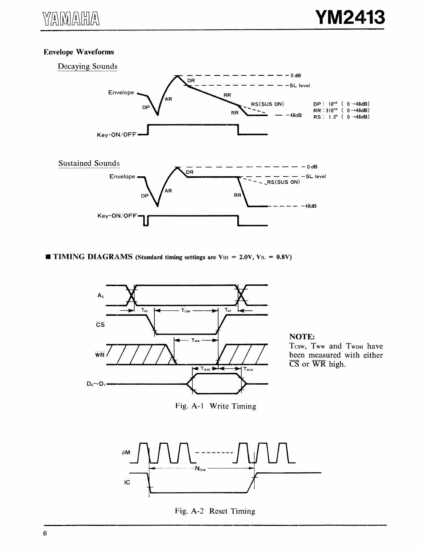### Envelope Waveforms



 $\blacksquare$  TIMING DIAGRAMS (Standard timing settings are V<sub>IH</sub> = 2.0V, V<sub>IL</sub> = 0.8V)





Fig. A-1 Write Timing







Fig. A-2 Reset Timing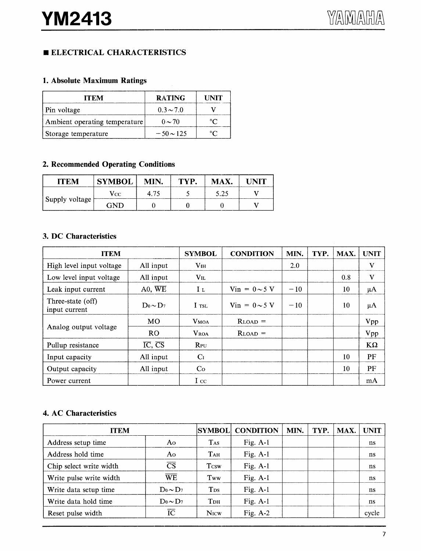### **ELECTRICAL CHARACTERISTICS**

### 1. Absolute Maximum Ratings

| ITEM                          | <b>RATING</b>  | <b>UNIT</b>    |
|-------------------------------|----------------|----------------|
| Pin voltage                   | $0.3 \sim 7.0$ |                |
| Ambient operating temperature | $0 \sim 70$    |                |
| Storage temperature           | $-50 \sim 125$ | $\circ$ $\cap$ |

### 2. Recommended Operating Conditions

| <b>ITEM</b>    | <b>SYMBOL</b> | MIN. | TYP. | MAX. | UNIT |
|----------------|---------------|------|------|------|------|
|                | Vcc           | 4.75 |      | 5.25 |      |
| Supply voltage | GND           |      |      |      |      |

### 3. DC Characteristics

| <b>ITEM</b>                        |               | <b>SYMBOL</b>   | <b>CONDITION</b>                  | MIN.  | TYP. | MAX. | <b>UNIT</b> |
|------------------------------------|---------------|-----------------|-----------------------------------|-------|------|------|-------------|
| High level input voltage           | All input     | V <sub>IH</sub> |                                   | 2.0   |      |      | V           |
| Low level input voltage            | All input     | $V_{\rm IL}$    |                                   |       |      | 0.8  | V           |
| Leak input current                 | A0, WE        | Iι              | $\text{Vir} = 0 \sim 5 \text{ V}$ | $-10$ |      | 10   | $\mu A$     |
| Three-state (off)<br>input current | $Do \sim D_7$ | I TSL           | Vin = $0 \sim 5$ V                | $-10$ |      | 10   | $\mu A$     |
|                                    | MO            | <b>VMOA</b>     | $R$ LOAD $=$                      |       |      |      | <b>Vpp</b>  |
| Analog output voltage              | <b>RO</b>     | <b>VROA</b>     | $R$ load $=$                      |       |      |      | Vpp         |
| Pullup resistance                  | IC, CS        | RPU             |                                   |       |      |      | $K\Omega$   |
| Input capacity                     | All input     | C <sub>I</sub>  |                                   |       |      | 10   | PF          |
| Output capacity                    | All input     | Co              |                                   |       |      | 10   | PF          |
| Power current                      |               | $I_{\rm CC}$    |                                   |       |      |      | mA          |

### 4. AC Characteristics

| <b>ITEM</b>             |                        | <b>SYMBOL</b>          | <b>CONDITION</b> | MIN. | TYP. | <b>MAX</b> | UNIT  |
|-------------------------|------------------------|------------------------|------------------|------|------|------------|-------|
| Address setup time      | A0.                    | <b>TAS</b>             | Fig. $A-1$       |      |      |            | ns    |
| Address hold time       | Ao                     | T <sub>AH</sub>        | Fig. $A-1$       |      |      |            | ns    |
| Chip select write width | $\overline{\text{CS}}$ | <b>T</b> csw           | Fig. $A-1$       |      |      |            | ns    |
| Write pulse write width | <b>WE</b>              | Tww                    | Fig. $A-1$       |      |      |            | ns    |
| Write data setup time   | $Do \sim D_7$          | <b>T</b> <sub>ps</sub> | Fig. $A-1$       |      |      |            | ns    |
| Write data hold time    | $Do \sim D_7$          | Трн                    | Fig. $A-1$       |      |      |            | ns    |
| Reset pulse width       | $\overline{\text{IC}}$ | <b>N<sub>ICW</sub></b> | Fig. $A-2$       |      |      |            | cycle |